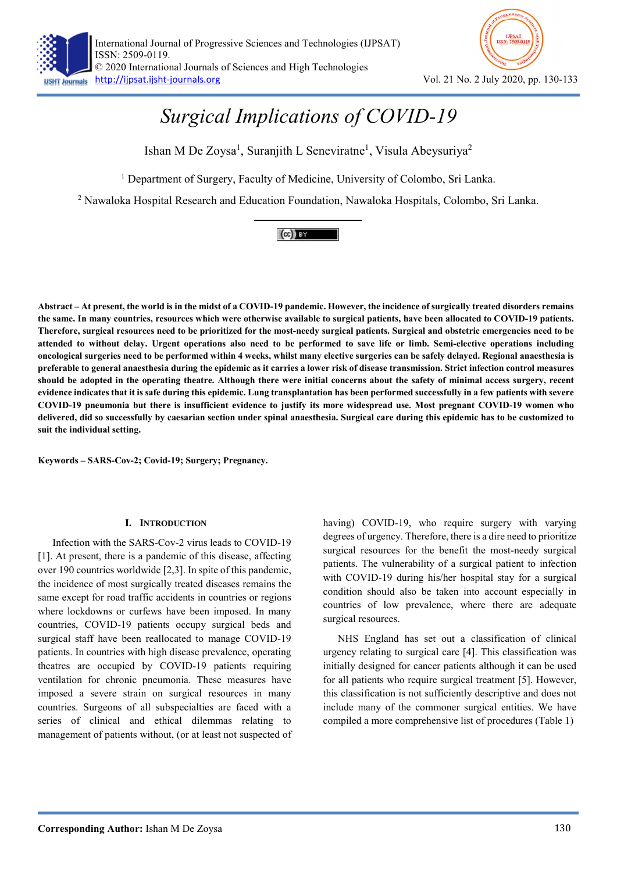



# Surgical Implications of COVID-19

Ishan M De Zoysa<sup>1</sup>, Suranjith L Seneviratne<sup>1</sup>, Visula Abeysuriya<sup>2</sup>

<sup>1</sup> Department of Surgery, Faculty of Medicine, University of Colombo, Sri Lanka.

<sup>2</sup> Nawaloka Hospital Research and Education Foundation, Nawaloka Hospitals, Colombo, Sri Lanka.

# $(cc)$  BY

Abstract – At present, the world is in the midst of a COVID-19 pandemic. However, the incidence of surgically treated disorders remains the same. In many countries, resources which were otherwise available to surgical patients, have been allocated to COVID-19 patients. Therefore, surgical resources need to be prioritized for the most-needy surgical patients. Surgical and obstetric emergencies need to be attended to without delay. Urgent operations also need to be performed to save life or limb. Semi-elective operations including oncological surgeries need to be performed within 4 weeks, whilst many elective surgeries can be safely delayed. Regional anaesthesia is preferable to general anaesthesia during the epidemic as it carries a lower risk of disease transmission. Strict infection control measures should be adopted in the operating theatre. Although there were initial concerns about the safety of minimal access surgery, recent evidence indicates that it is safe during this epidemic. Lung transplantation has been performed successfully in a few patients with severe COVID-19 pneumonia but there is insufficient evidence to justify its more widespread use. Most pregnant COVID-19 women who delivered, did so successfully by caesarian section under spinal anaesthesia. Surgical care during this epidemic has to be customized to suit the individual setting.

Keywords – SARS-Cov-2; Covid-19; Surgery; Pregnancy.

# I. INTRODUCTION

Infection with the SARS-Cov-2 virus leads to COVID-19 [1]. At present, there is a pandemic of this disease, affecting over 190 countries worldwide [2,3]. In spite of this pandemic, the incidence of most surgically treated diseases remains the same except for road traffic accidents in countries or regions where lockdowns or curfews have been imposed. In many countries, COVID-19 patients occupy surgical beds and surgical staff have been reallocated to manage COVID-19 patients. In countries with high disease prevalence, operating theatres are occupied by COVID-19 patients requiring ventilation for chronic pneumonia. These measures have imposed a severe strain on surgical resources in many countries. Surgeons of all subspecialties are faced with a series of clinical and ethical dilemmas relating to management of patients without, (or at least not suspected of having) COVID-19, who require surgery with varying degrees of urgency. Therefore, there is a dire need to prioritize surgical resources for the benefit the most-needy surgical patients. The vulnerability of a surgical patient to infection with COVID-19 during his/her hospital stay for a surgical condition should also be taken into account especially in countries of low prevalence, where there are adequate surgical resources.

NHS England has set out a classification of clinical urgency relating to surgical care [4]. This classification was initially designed for cancer patients although it can be used for all patients who require surgical treatment [5]. However, this classification is not sufficiently descriptive and does not include many of the commoner surgical entities. We have compiled a more comprehensive list of procedures (Table 1)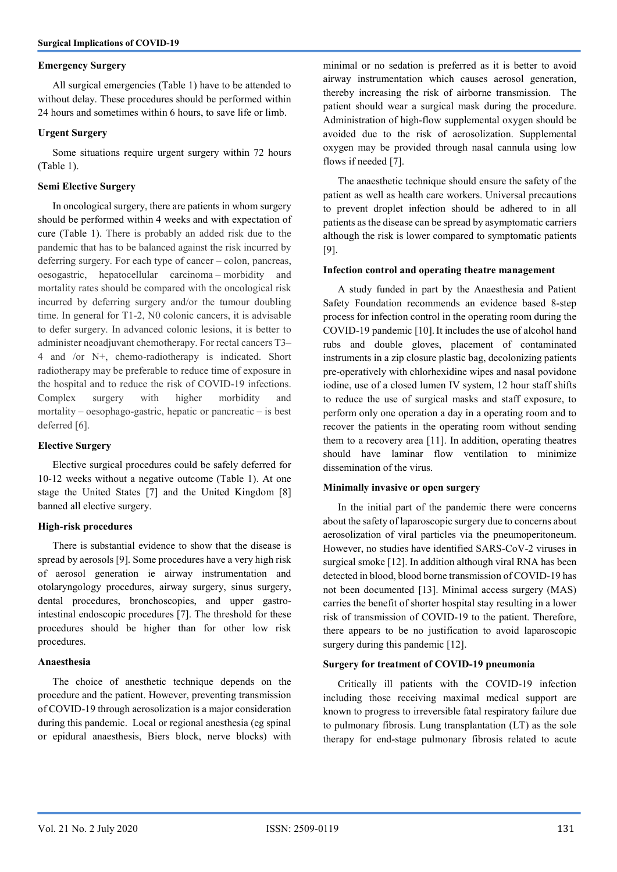# Emergency Surgery

All surgical emergencies (Table 1) have to be attended to without delay. These procedures should be performed within 24 hours and sometimes within 6 hours, to save life or limb.

# Urgent Surgery

Some situations require urgent surgery within 72 hours (Table 1).

# Semi Elective Surgery

In oncological surgery, there are patients in whom surgery should be performed within 4 weeks and with expectation of cure (Table 1). There is probably an added risk due to the pandemic that has to be balanced against the risk incurred by deferring surgery. For each type of cancer – colon, pancreas, oesogastric, hepatocellular carcinoma – morbidity and mortality rates should be compared with the oncological risk incurred by deferring surgery and/or the tumour doubling time. In general for T1-2, N0 colonic cancers, it is advisable to defer surgery. In advanced colonic lesions, it is better to administer neoadjuvant chemotherapy. For rectal cancers T3– 4 and /or N+, chemo-radiotherapy is indicated. Short radiotherapy may be preferable to reduce time of exposure in the hospital and to reduce the risk of COVID-19 infections. Complex surgery with higher morbidity and mortality – oesophago-gastric, hepatic or pancreatic – is best deferred [6].

### Elective Surgery

Elective surgical procedures could be safely deferred for 10-12 weeks without a negative outcome (Table 1). At one stage the United States [7] and the United Kingdom [8] banned all elective surgery.

# High-risk procedures

There is substantial evidence to show that the disease is spread by aerosols [9]. Some procedures have a very high risk of aerosol generation ie airway instrumentation and otolaryngology procedures, airway surgery, sinus surgery, dental procedures, bronchoscopies, and upper gastrointestinal endoscopic procedures [7]. The threshold for these procedures should be higher than for other low risk procedures.

### Anaesthesia

The choice of anesthetic technique depends on the procedure and the patient. However, preventing transmission of COVID-19 through aerosolization is a major consideration during this pandemic. Local or regional anesthesia (eg spinal or epidural anaesthesis, Biers block, nerve blocks) with minimal or no sedation is preferred as it is better to avoid airway instrumentation which causes aerosol generation, thereby increasing the risk of airborne transmission. The patient should wear a surgical mask during the procedure. Administration of high-flow supplemental oxygen should be avoided due to the risk of aerosolization. Supplemental oxygen may be provided through nasal cannula using low flows if needed [7].

The anaesthetic technique should ensure the safety of the patient as well as health care workers. Universal precautions to prevent droplet infection should be adhered to in all patients as the disease can be spread by asymptomatic carriers although the risk is lower compared to symptomatic patients [9].

### Infection control and operating theatre management

A study funded in part by the Anaesthesia and Patient Safety Foundation recommends an evidence based 8-step process for infection control in the operating room during the COVID-19 pandemic [10].It includes the use of alcohol hand rubs and double gloves, placement of contaminated instruments in a zip closure plastic bag, decolonizing patients pre-operatively with chlorhexidine wipes and nasal povidone iodine, use of a closed lumen IV system, 12 hour staff shifts to reduce the use of surgical masks and staff exposure, to perform only one operation a day in a operating room and to recover the patients in the operating room without sending them to a recovery area [11]. In addition, operating theatres should have laminar flow ventilation to minimize dissemination of the virus.

### Minimally invasive or open surgery

In the initial part of the pandemic there were concerns about the safety of laparoscopic surgery due to concerns about aerosolization of viral particles via the pneumoperitoneum. However, no studies have identified SARS-CoV-2 viruses in surgical smoke [12]. In addition although viral RNA has been detected in blood, blood borne transmission of COVID-19 has not been documented [13]. Minimal access surgery (MAS) carries the benefit of shorter hospital stay resulting in a lower risk of transmission of COVID-19 to the patient. Therefore, there appears to be no justification to avoid laparoscopic surgery during this pandemic [12].

## Surgery for treatment of COVID-19 pneumonia

Critically ill patients with the COVID-19 infection including those receiving maximal medical support are known to progress to irreversible fatal respiratory failure due to pulmonary fibrosis. Lung transplantation (LT) as the sole therapy for end-stage pulmonary fibrosis related to acute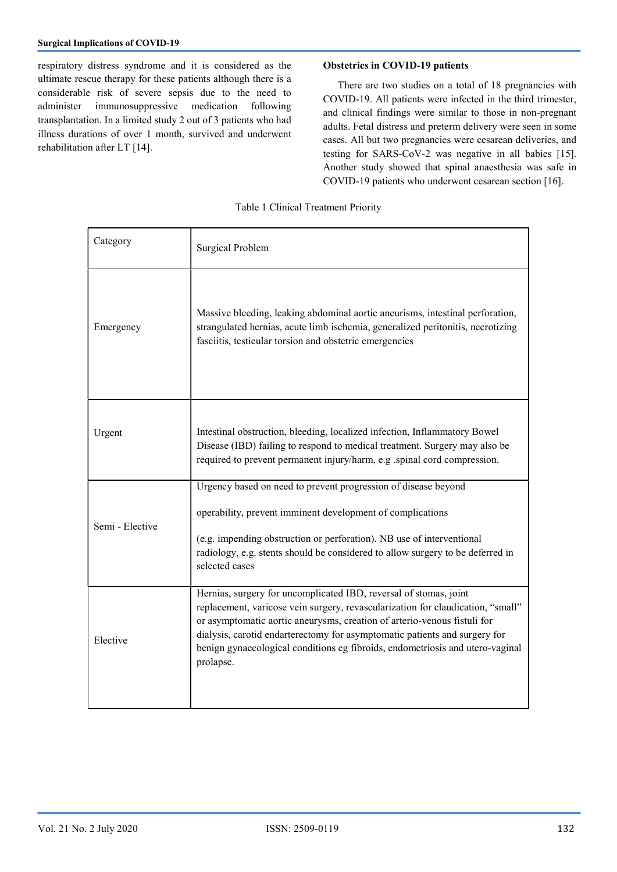respiratory distress syndrome and it is considered as the ultimate rescue therapy for these patients although there is a considerable risk of severe sepsis due to the need to administer immunosuppressive medication following transplantation. In a limited study 2 out of 3 patients who had illness durations of over 1 month, survived and underwent rehabilitation after LT [14].

# Obstetrics in COVID-19 patients

There are two studies on a total of 18 pregnancies with COVID-19. All patients were infected in the third trimester, and clinical findings were similar to those in non-pregnant adults. Fetal distress and preterm delivery were seen in some cases. All but two pregnancies were cesarean deliveries, and testing for SARS-CoV-2 was negative in all babies [15]. Another study showed that spinal anaesthesia was safe in COVID-19 patients who underwent cesarean section [16].

| Category        | <b>Surgical Problem</b>                                                                                                                                                                                                                                                                                                                                                                                      |
|-----------------|--------------------------------------------------------------------------------------------------------------------------------------------------------------------------------------------------------------------------------------------------------------------------------------------------------------------------------------------------------------------------------------------------------------|
| Emergency       | Massive bleeding, leaking abdominal aortic aneurisms, intestinal perforation,<br>strangulated hernias, acute limb ischemia, generalized peritonitis, necrotizing<br>fasciitis, testicular torsion and obstetric emergencies                                                                                                                                                                                  |
| Urgent          | Intestinal obstruction, bleeding, localized infection, Inflammatory Bowel<br>Disease (IBD) failing to respond to medical treatment. Surgery may also be<br>required to prevent permanent injury/harm, e.g .spinal cord compression.                                                                                                                                                                          |
| Semi - Elective | Urgency based on need to prevent progression of disease beyond<br>operability, prevent imminent development of complications<br>(e.g. impending obstruction or perforation). NB use of interventional<br>radiology, e.g. stents should be considered to allow surgery to be deferred in<br>selected cases                                                                                                    |
| Elective        | Hernias, surgery for uncomplicated IBD, reversal of stomas, joint<br>replacement, varicose vein surgery, revascularization for claudication, "small"<br>or asymptomatic aortic aneurysms, creation of arterio-venous fistuli for<br>dialysis, carotid endarterectomy for asymptomatic patients and surgery for<br>benign gynaecological conditions eg fibroids, endometriosis and utero-vaginal<br>prolapse. |